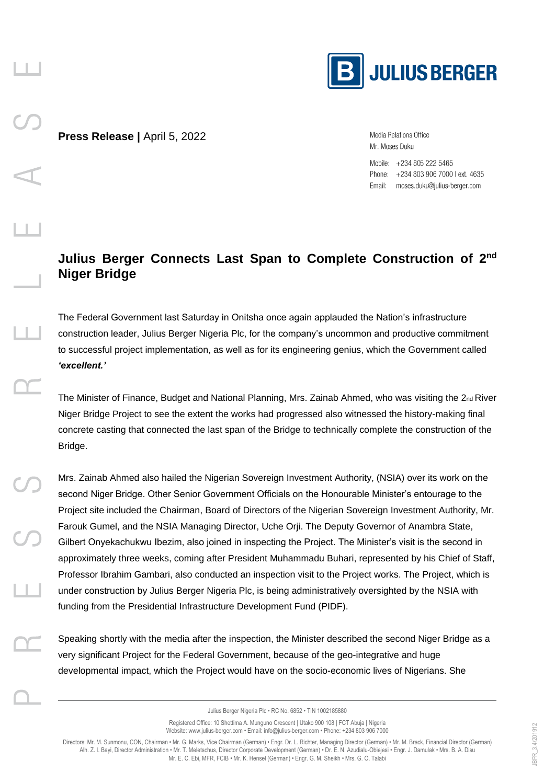

**Press Release |** April 5, 2022

Media Relations Office Mr. Moses Duku

Mobile: +234 805 222 5465 Phone: +234 803 906 7000 l ext. 4635 Email: moses.duku@julius-berger.com

## **Julius Berger Connects Last Span to Complete Construction of 2nd Niger Bridge**

The Federal Government last Saturday in Onitsha once again applauded the Nation's infrastructure construction leader, Julius Berger Nigeria Plc, for the company's uncommon and productive commitment to successful project implementation, as well as for its engineering genius, which the Government called *'excellent.'* 

The Minister of Finance, Budget and National Planning, Mrs. Zainab Ahmed, who was visiting the 2<sub>nd</sub> River Niger Bridge Project to see the extent the works had progressed also witnessed the history-making final concrete casting that connected the last span of the Bridge to technically complete the construction of the Bridge.

Mrs. Zainab Ahmed also hailed the Nigerian Sovereign Investment Authority, (NSIA) over its work on the second Niger Bridge. Other Senior Government Officials on the Honourable Minister's entourage to the Project site included the Chairman, Board of Directors of the Nigerian Sovereign Investment Authority, Mr. Farouk Gumel, and the NSIA Managing Director, Uche Orji. The Deputy Governor of Anambra State, Gilbert Onyekachukwu Ibezim, also joined in inspecting the Project. The Minister's visit is the second in approximately three weeks, coming after President Muhammadu Buhari, represented by his Chief of Staff, Professor Ibrahim Gambari, also conducted an inspection visit to the Project works. The Project, which is under construction by Julius Berger Nigeria Plc, is being administratively oversighted by the NSIA with funding from the Presidential Infrastructure Development Fund (PIDF).

Speaking shortly with the media after the inspection, the Minister described the second Niger Bridge as a very significant Project for the Federal Government, because of the geo-integrative and huge developmental impact, which the Project would have on the socio-economic lives of Nigerians. She

> Julius Berger Nigeria Plc • RC No. 6852 • TIN 1002185880 Registered Office: 10 Shettima A. Munguno Crescent | Utako 900 108 | FCT Abuja | Nigeria

Website: www.julius-berger.com • Email: info@julius-berger.com • Phone: +234 803 906 7000

Directors: Mr. M. Sunmonu, CON, Chairman • Mr. G. Marks, Vice Chairman (German) • Engr. Dr. L. Richter, Managing Director (German) • Mr. M. Brack, Financial Director (German) Alh. Z. I. Bayi, Director Administration • Mr. T. Meletschus, Director Corporate Development (German) • Dr. E. N. Azudialu-Obiejesi • Engr. J. Damulak • Mrs. B. A. Disu Mr. E. C. Ebi, MFR, FCIB • Mr. K. Hensel (German) • Engr. G. M. Sheikh • Mrs. G. O. Talabi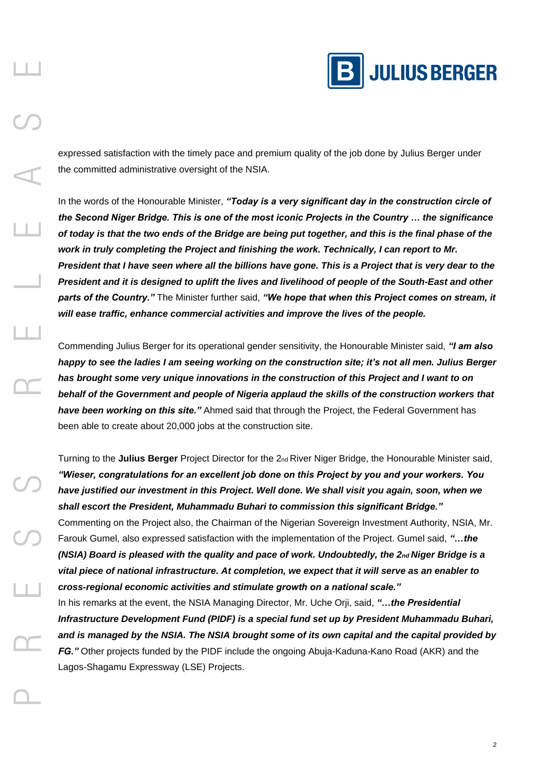

expressed satisfaction with the timely pace and premium quality of the job done by Julius Berger under the committed administrative oversight of the NSIA.

In the words of the Honourable Minister, *"Today is a very significant day in the construction circle of the Second Niger Bridge. This is one of the most iconic Projects in the Country … the significance of today is that the two ends of the Bridge are being put together, and this is the final phase of the work in truly completing the Project and finishing the work. Technically, I can report to Mr. President that I have seen where all the billions have gone. This is a Project that is very dear to the President and it is designed to uplift the lives and livelihood of people of the South-East and other parts of the Country."* The Minister further said, *"We hope that when this Project comes on stream, it will ease traffic, enhance commercial activities and improve the lives of the people.* 

Commending Julius Berger for its operational gender sensitivity, the Honourable Minister said, *"I am also happy to see the ladies I am seeing working on the construction site; it's not all men. Julius Berger has brought some very unique innovations in the construction of this Project and I want to on behalf of the Government and people of Nigeria applaud the skills of the construction workers that have been working on this site."* Ahmed said that through the Project, the Federal Government has been able to create about 20,000 jobs at the construction site.

Turning to the **Julius Berger** Project Director for the 2nd River Niger Bridge, the Honourable Minister said, *"Wieser, congratulations for an excellent job done on this Project by you and your workers. You have justified our investment in this Project. Well done. We shall visit you again, soon, when we shall escort the President, Muhammadu Buhari to commission this significant Bridge."*  Commenting on the Project also, the Chairman of the Nigerian Sovereign Investment Authority, NSIA, Mr. Farouk Gumel, also expressed satisfaction with the implementation of the Project. Gumel said, *"…the (NSIA) Board is pleased with the quality and pace of work. Undoubtedly, the 2nd Niger Bridge is a vital piece of national infrastructure. At completion, we expect that it will serve as an enabler to cross-regional economic activities and stimulate growth on a national scale."*  In his remarks at the event, the NSIA Managing Director, Mr. Uche Orji, said, *"…the Presidential Infrastructure Development Fund (PIDF) is a special fund set up by President Muhammadu Buhari, and is managed by the NSIA. The NSIA brought some of its own capital and the capital provided by FG."* Other projects funded by the PIDF include the ongoing Abuja-Kaduna-Kano Road (AKR) and the

Lagos-Shagamu Expressway (LSE) Projects.